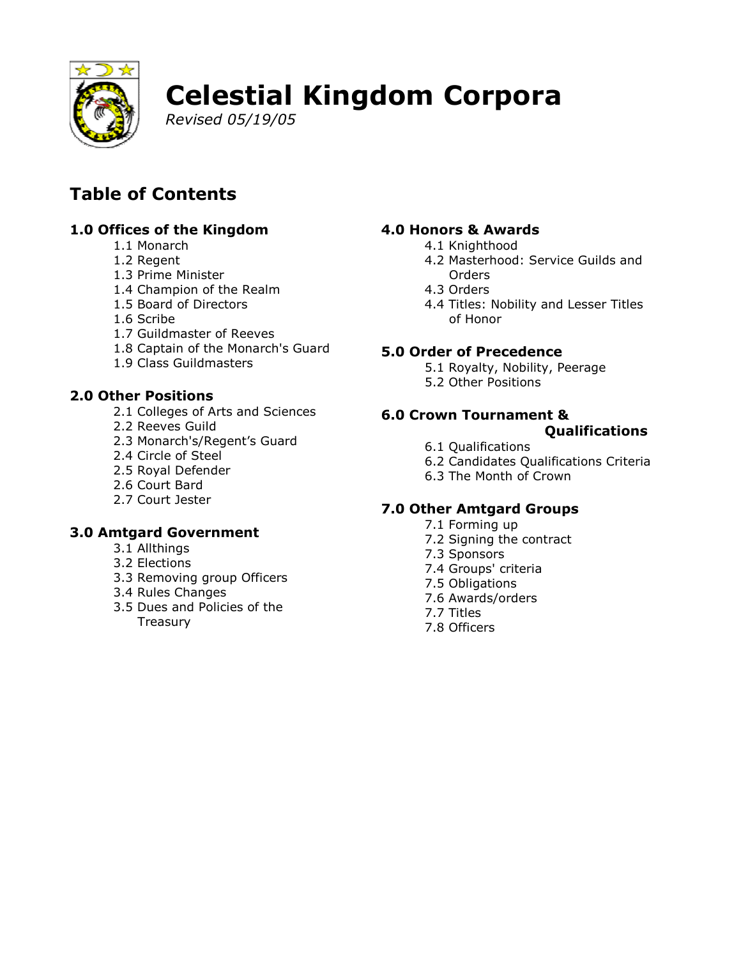

# **Celestial Kingdom Corpora**

Revised 05/19/05

# **Table of Contents**

# 1.0 Offices of the Kingdom

- 1.1 Monarch
- 1.2 Regent
- 1.3 Prime Minister
- 1.4 Champion of the Realm
- 1.5 Board of Directors
- 1.6 Scribe
- 1.7 Guildmaster of Reeves
- 1.8 Captain of the Monarch's Guard
- 1.9 Class Guildmasters

# **2.0 Other Positions**

- 2.1 Colleges of Arts and Sciences
- 2.2 Reeves Guild
- 2.3 Monarch's/Regent's Guard
- 2.4 Circle of Steel
- 2.5 Royal Defender
- 2.6 Court Bard
- 2.7 Court Jester

# **3.0 Amtgard Government**

- 3.1 Allthings
- 3.2 Flections
- 3.3 Removing group Officers
- 3.4 Rules Changes
- 3.5 Dues and Policies of the Treasury

# 4.0 Honors & Awards

- 4.1 Knighthood
- 4.2 Masterhood: Service Guilds and Orders
- 4.3 Orders
- 4.4 Titles: Nobility and Lesser Titles of Honor

## **5.0 Order of Precedence**

- 5.1 Royalty, Nobility, Peerage
- 5.2 Other Positions

# 6.0 Crown Tournament &

## **Qualifications**

- 6.1 Qualifications
- 6.2 Candidates Qualifications Criteria
- 6.3 The Month of Crown

# **7.0 Other Amtgard Groups**

- 7.1 Forming up
- 7.2 Signing the contract
- 7.3 Sponsors
- 7.4 Groups' criteria
- 7.5 Obligations
- 7.6 Awards/orders
- 7.7 Titles
- 7.8 Officers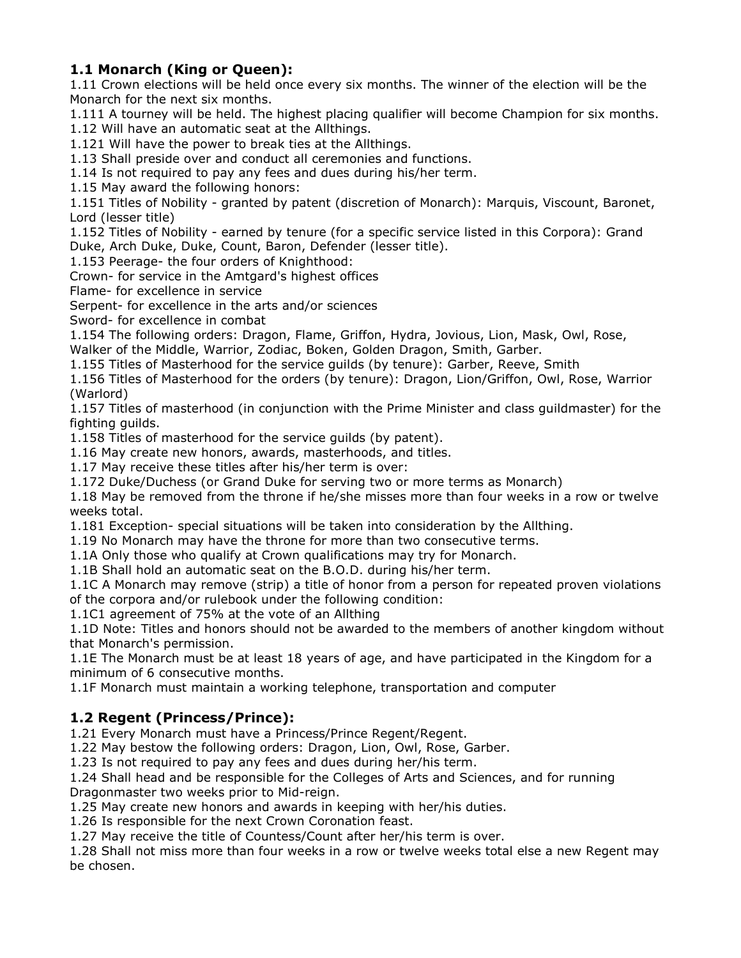#### 1.1 Monarch (King or Queen):

1.11 Crown elections will be held once every six months. The winner of the election will be the Monarch for the next six months.

1.111 A tourney will be held. The highest placing qualifier will become Champion for six months.

1.12 Will have an automatic seat at the Allthings.

1.121 Will have the power to break ties at the Allthings.

1.13 Shall preside over and conduct all ceremonies and functions.

1.14 Is not required to pay any fees and dues during his/her term.

1.15 May award the following honors:

1.151 Titles of Nobility - granted by patent (discretion of Monarch): Marquis, Viscount, Baronet, Lord (lesser title)

1.152 Titles of Nobility - earned by tenure (for a specific service listed in this Corpora): Grand Duke, Arch Duke, Duke, Count, Baron, Defender (lesser title).

1.153 Peerage- the four orders of Knighthood:

Crown- for service in the Amtgard's highest offices

Flame- for excellence in service

Serpent- for excellence in the arts and/or sciences

Sword- for excellence in combat

1.154 The following orders: Dragon, Flame, Griffon, Hydra, Jovious, Lion, Mask, Owl, Rose, Walker of the Middle, Warrior, Zodiac, Boken, Golden Dragon, Smith, Garber.

1.155 Titles of Masterhood for the service quilds (by tenure): Garber, Reeve, Smith

1.156 Titles of Masterhood for the orders (by tenure): Dragon, Lion/Griffon, Owl, Rose, Warrior (Warlord)

1.157 Titles of masterhood (in conjunction with the Prime Minister and class quildmaster) for the fighting guilds.

1.158 Titles of masterhood for the service quilds (by patent).

1.16 May create new honors, awards, masterhoods, and titles.

1.17 May receive these titles after his/her term is over:

1.172 Duke/Duchess (or Grand Duke for serving two or more terms as Monarch)

1.18 May be removed from the throne if he/she misses more than four weeks in a row or twelve weeks total.

1.181 Exception- special situations will be taken into consideration by the Allthing.

1.19 No Monarch may have the throne for more than two consecutive terms.

1.1A Only those who qualify at Crown qualifications may try for Monarch.

1.1B Shall hold an automatic seat on the B.O.D. during his/her term.

1.1C A Monarch may remove (strip) a title of honor from a person for repeated proven violations of the corpora and/or rulebook under the following condition:

1.1C1 agreement of 75% at the vote of an Allthing

1.1D Note: Titles and honors should not be awarded to the members of another kingdom without that Monarch's permission.

1.1E The Monarch must be at least 18 years of age, and have participated in the Kingdom for a minimum of 6 consecutive months.

1.1F Monarch must maintain a working telephone, transportation and computer

#### 1.2 Regent (Princess/Prince):

1.21 Every Monarch must have a Princess/Prince Regent/Regent.

1.22 May bestow the following orders: Dragon, Lion, Owl, Rose, Garber.

1.23 Is not required to pay any fees and dues during her/his term.

1.24 Shall head and be responsible for the Colleges of Arts and Sciences, and for running Dragonmaster two weeks prior to Mid-reign.

1.25 May create new honors and awards in keeping with her/his duties.

1.26 Is responsible for the next Crown Coronation feast.

1.27 May receive the title of Countess/Count after her/his term is over.

1.28 Shall not miss more than four weeks in a row or twelve weeks total else a new Regent may be chosen.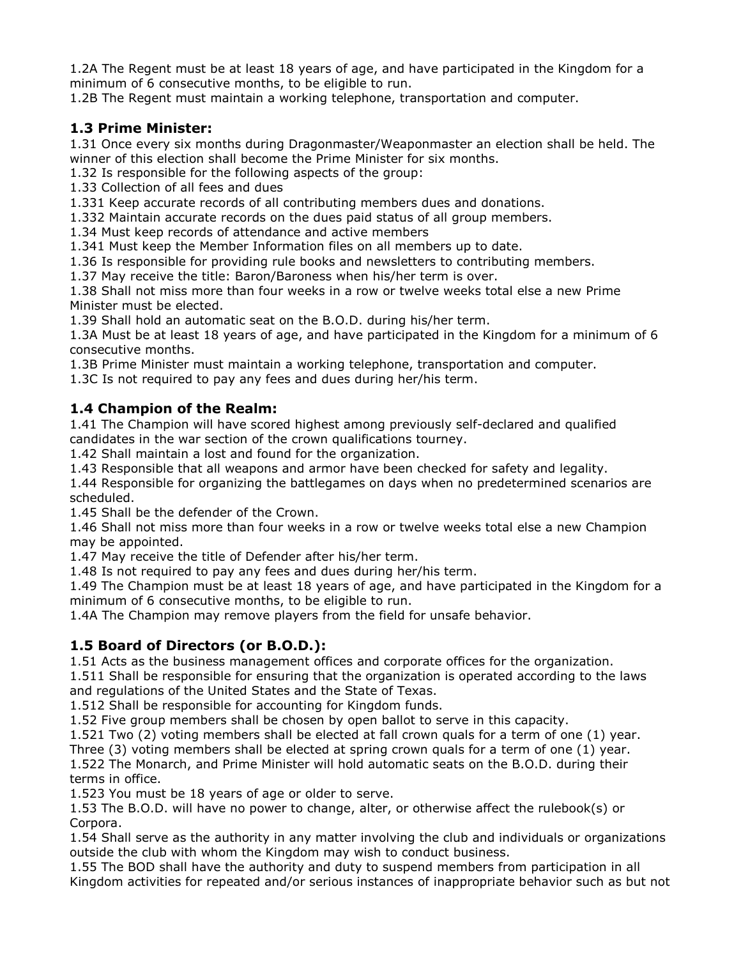1.2A The Regent must be at least 18 years of age, and have participated in the Kingdom for a minimum of 6 consecutive months, to be eligible to run.

1.2B The Regent must maintain a working telephone, transportation and computer.

#### 1.3 Prime Minister:

1.31 Once every six months during Dragonmaster/Weaponmaster an election shall be held. The winner of this election shall become the Prime Minister for six months.

1.32 Is responsible for the following aspects of the group:

1.33 Collection of all fees and dues

1.331 Keep accurate records of all contributing members dues and donations.

1.332 Maintain accurate records on the dues paid status of all group members.

1.34 Must keep records of attendance and active members

1.341 Must keep the Member Information files on all members up to date.

1.36 Is responsible for providing rule books and newsletters to contributing members.

1.37 May receive the title: Baron/Baroness when his/her term is over.

1.38 Shall not miss more than four weeks in a row or twelve weeks total else a new Prime Minister must be elected.

1.39 Shall hold an automatic seat on the B.O.D. during his/her term.

1.3A Must be at least 18 years of age, and have participated in the Kingdom for a minimum of 6 consecutive months.

1.3B Prime Minister must maintain a working telephone, transportation and computer.

1.3C Is not required to pay any fees and dues during her/his term.

#### 1.4 Champion of the Realm:

1.41 The Champion will have scored highest among previously self-declared and qualified candidates in the war section of the crown qualifications tourney.

1.42 Shall maintain a lost and found for the organization.

1.43 Responsible that all weapons and armor have been checked for safety and legality.

1.44 Responsible for organizing the battlegames on days when no predetermined scenarios are scheduled.

1.45 Shall be the defender of the Crown.

1.46 Shall not miss more than four weeks in a row or twelve weeks total else a new Champion may be appointed.

1.47 May receive the title of Defender after his/her term.

1.48 Is not required to pay any fees and dues during her/his term.

1.49 The Champion must be at least 18 years of age, and have participated in the Kingdom for a minimum of 6 consecutive months, to be eligible to run.

1.4A The Champion may remove players from the field for unsafe behavior.

#### 1.5 Board of Directors (or B.O.D.):

1.51 Acts as the business management offices and corporate offices for the organization.

1.511 Shall be responsible for ensuring that the organization is operated according to the laws and regulations of the United States and the State of Texas.

1.512 Shall be responsible for accounting for Kingdom funds.

1.52 Five group members shall be chosen by open ballot to serve in this capacity.

1.521 Two (2) voting members shall be elected at fall crown quals for a term of one (1) year.

Three  $(3)$  voting members shall be elected at spring crown quals for a term of one  $(1)$  year.

1.522 The Monarch, and Prime Minister will hold automatic seats on the B.O.D. during their terms in office.

1.523 You must be 18 years of age or older to serve.

1.53 The B.O.D. will have no power to change, alter, or otherwise affect the rulebook(s) or Corpora.

1.54 Shall serve as the authority in any matter involving the club and individuals or organizations outside the club with whom the Kingdom may wish to conduct business.

1.55 The BOD shall have the authority and duty to suspend members from participation in all Kingdom activities for repeated and/or serious instances of inappropriate behavior such as but not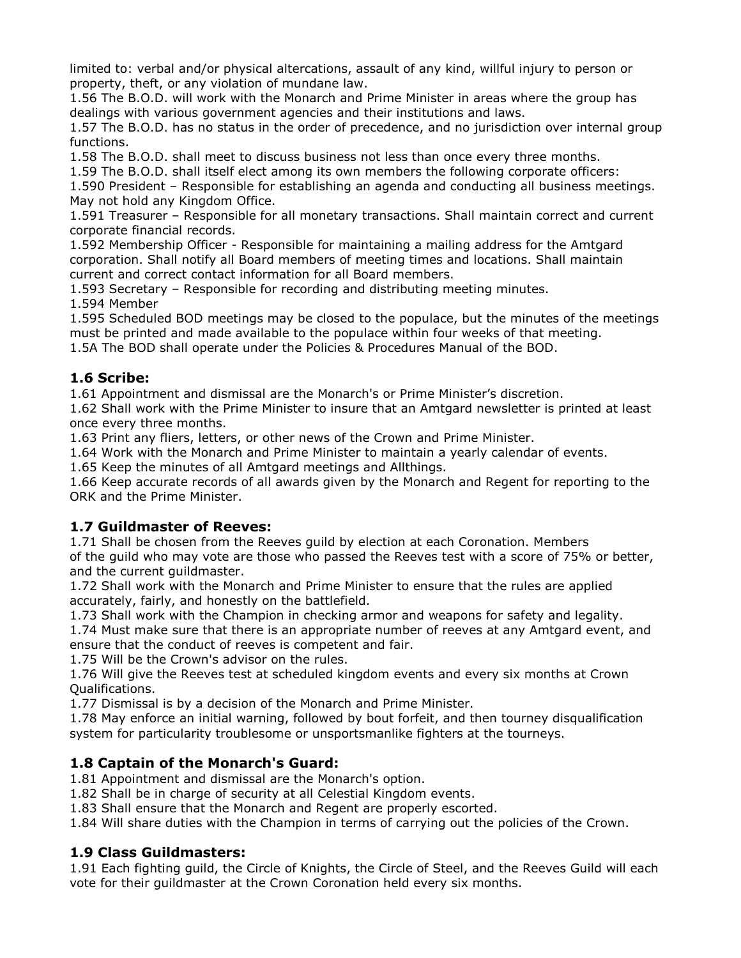limited to: verbal and/or physical altercations, assault of any kind, willful injury to person or property, theft, or any violation of mundane law.

1.56 The B.O.D. will work with the Monarch and Prime Minister in areas where the group has dealings with various government agencies and their institutions and laws.

1.57 The B.O.D. has no status in the order of precedence, and no jurisdiction over internal group functions.

1.58 The B.O.D. shall meet to discuss business not less than once every three months.

1.59 The B.O.D. shall itself elect among its own members the following corporate officers:

1.590 President - Responsible for establishing an agenda and conducting all business meetings. May not hold any Kingdom Office.

1.591 Treasurer - Responsible for all monetary transactions. Shall maintain correct and current corporate financial records.

1.592 Membership Officer - Responsible for maintaining a mailing address for the Amtgard corporation. Shall notify all Board members of meeting times and locations. Shall maintain current and correct contact information for all Board members.

1.593 Secretary - Responsible for recording and distributing meeting minutes.

1.594 Member

1.595 Scheduled BOD meetings may be closed to the populace, but the minutes of the meetings must be printed and made available to the populace within four weeks of that meeting. 1.5A The BOD shall operate under the Policies & Procedures Manual of the BOD.

#### 1.6 Scribe:

1.61 Appointment and dismissal are the Monarch's or Prime Minister's discretion.

1.62 Shall work with the Prime Minister to insure that an Amtgard newsletter is printed at least once every three months.

1.63 Print any fliers, letters, or other news of the Crown and Prime Minister.

1.64 Work with the Monarch and Prime Minister to maintain a yearly calendar of events.

1.65 Keep the minutes of all Amtgard meetings and Allthings.

1.66 Keep accurate records of all awards given by the Monarch and Regent for reporting to the ORK and the Prime Minister.

#### 1.7 Guildmaster of Reeves:

1.71 Shall be chosen from the Reeves quild by election at each Coronation. Members of the guild who may vote are those who passed the Reeves test with a score of 75% or better, and the current quildmaster.

1.72 Shall work with the Monarch and Prime Minister to ensure that the rules are applied accurately, fairly, and honestly on the battlefield.

1.73 Shall work with the Champion in checking armor and weapons for safety and legality.

1.74 Must make sure that there is an appropriate number of reeves at any Amtgard event, and ensure that the conduct of reeves is competent and fair.

1.75 Will be the Crown's advisor on the rules.

1.76 Will give the Reeves test at scheduled kingdom events and every six months at Crown **Qualifications.** 

1.77 Dismissal is by a decision of the Monarch and Prime Minister.

1.78 May enforce an initial warning, followed by bout forfeit, and then tourney disqualification system for particularity troublesome or unsportsmanlike fighters at the tourneys.

#### 1.8 Captain of the Monarch's Guard:

1.81 Appointment and dismissal are the Monarch's option.

1.82 Shall be in charge of security at all Celestial Kingdom events.

1.83 Shall ensure that the Monarch and Regent are properly escorted.

1.84 Will share duties with the Champion in terms of carrying out the policies of the Crown.

#### 1.9 Class Guildmasters:

1.91 Each fighting guild, the Circle of Knights, the Circle of Steel, and the Reeves Guild will each vote for their guildmaster at the Crown Coronation held every six months.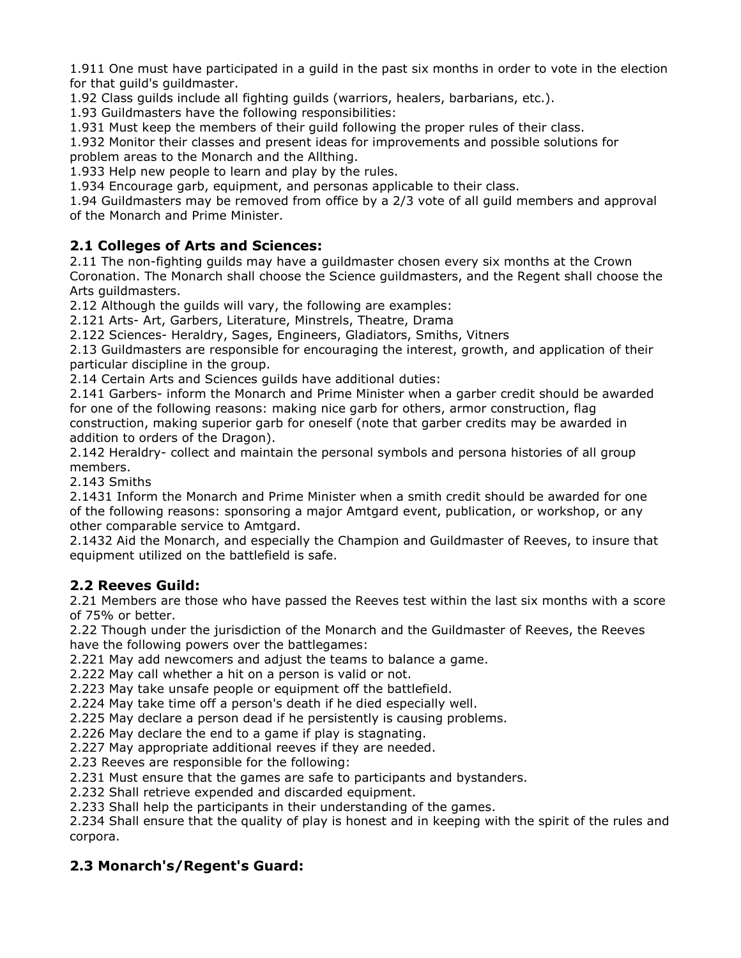1.911 One must have participated in a guild in the past six months in order to vote in the election for that quild's quildmaster.

1.92 Class quilds include all fighting quilds (warriors, healers, barbarians, etc.).

1.93 Guildmasters have the following responsibilities:

1.931 Must keep the members of their quild following the proper rules of their class.

1.932 Monitor their classes and present ideas for improvements and possible solutions for problem areas to the Monarch and the Allthing.

1.933 Help new people to learn and play by the rules.

1.934 Encourage garb, equipment, and personas applicable to their class.

1.94 Guildmasters may be removed from office by a 2/3 vote of all quild members and approval of the Monarch and Prime Minister.

#### 2.1 Colleges of Arts and Sciences:

2.11 The non-fighting quilds may have a quildmaster chosen every six months at the Crown Coronation. The Monarch shall choose the Science guildmasters, and the Regent shall choose the Arts quildmasters.

2.12 Although the guilds will vary, the following are examples:

2.121 Arts- Art, Garbers, Literature, Minstrels, Theatre, Drama

2.122 Sciences- Heraldry, Sages, Engineers, Gladiators, Smiths, Vitners

2.13 Guildmasters are responsible for encouraging the interest, growth, and application of their particular discipline in the group.

2.14 Certain Arts and Sciences guilds have additional duties:

2.141 Garbers- inform the Monarch and Prime Minister when a garber credit should be awarded for one of the following reasons: making nice garb for others, armor construction, flag construction, making superior garb for oneself (note that garber credits may be awarded in addition to orders of the Dragon).

2.142 Heraldry- collect and maintain the personal symbols and persona histories of all group members.

2.143 Smiths

2.1431 Inform the Monarch and Prime Minister when a smith credit should be awarded for one of the following reasons: sponsoring a major Amtgard event, publication, or workshop, or any other comparable service to Amtgard.

2.1432 Aid the Monarch, and especially the Champion and Guildmaster of Reeves, to insure that equipment utilized on the battlefield is safe.

#### 2.2 Reeves Guild:

2.21 Members are those who have passed the Reeves test within the last six months with a score of 75% or better.

2.22 Though under the jurisdiction of the Monarch and the Guildmaster of Reeves, the Reeves have the following powers over the battlegames:

2.221 May add newcomers and adjust the teams to balance a game.

2.222 May call whether a hit on a person is valid or not.

2.223 May take unsafe people or equipment off the battlefield.

2.224 May take time off a person's death if he died especially well.

2.225 May declare a person dead if he persistently is causing problems.

2.226 May declare the end to a game if play is stagnating.

2.227 May appropriate additional reeves if they are needed.

2.23 Reeves are responsible for the following:

2.231 Must ensure that the games are safe to participants and bystanders.

2.232 Shall retrieve expended and discarded equipment.

2.233 Shall help the participants in their understanding of the games.

2.234 Shall ensure that the quality of play is honest and in keeping with the spirit of the rules and corpora.

#### 2.3 Monarch's/Regent's Guard: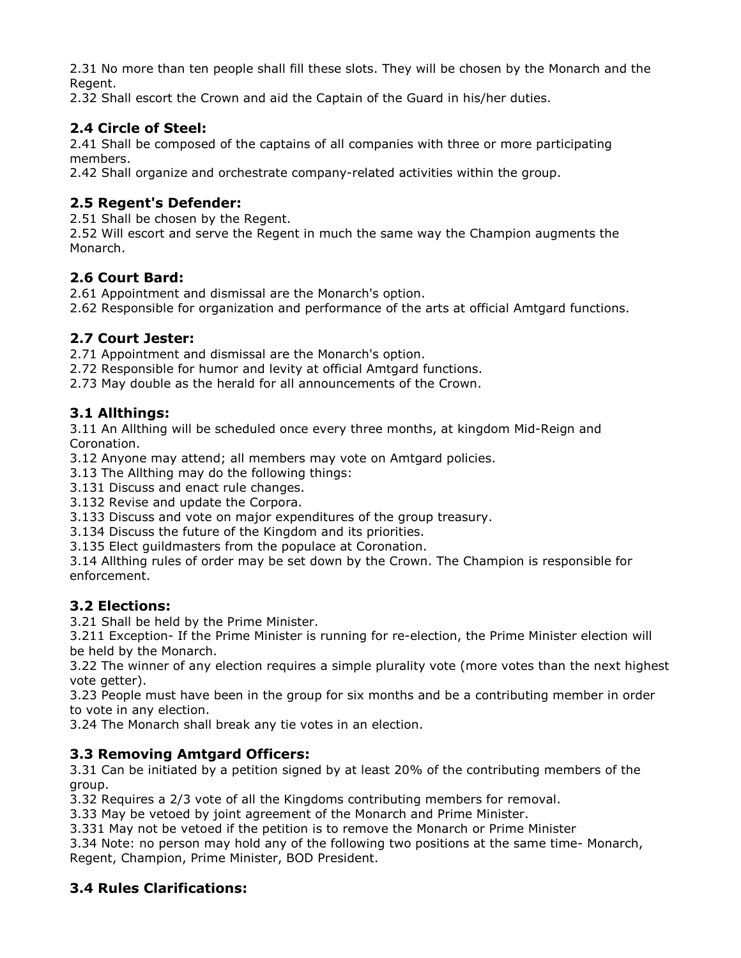2.31 No more than ten people shall fill these slots. They will be chosen by the Monarch and the Regent.

2.32 Shall escort the Crown and aid the Captain of the Guard in his/her duties.

#### 2.4 Circle of Steel:

2.41 Shall be composed of the captains of all companies with three or more participating members.

2.42 Shall organize and orchestrate company-related activities within the group.

#### 2.5 Regent's Defender:

2.51 Shall be chosen by the Regent.

2.52 Will escort and serve the Regent in much the same way the Champion augments the Monarch.

#### 2.6 Court Bard:

2.61 Appointment and dismissal are the Monarch's option.

2.62 Responsible for organization and performance of the arts at official Amtgard functions.

#### 2.7 Court Jester:

2.71 Appointment and dismissal are the Monarch's option.

2.72 Responsible for humor and levity at official Amtgard functions.

2.73 May double as the herald for all announcements of the Crown.

#### 3.1 Allthings:

3.11 An Allthing will be scheduled once every three months, at kingdom Mid-Reign and Coronation.

3.12 Anyone may attend; all members may vote on Amtgard policies.

3.13 The Allthing may do the following things:

3.131 Discuss and enact rule changes.

3.132 Revise and update the Corpora.

3.133 Discuss and vote on major expenditures of the group treasury.

3.134 Discuss the future of the Kingdom and its priorities.

3.135 Elect quildmasters from the populace at Coronation.

3.14 Allthing rules of order may be set down by the Crown. The Champion is responsible for enforcement.

#### **3.2 Elections:**

3.21 Shall be held by the Prime Minister.

3.211 Exception- If the Prime Minister is running for re-election, the Prime Minister election will be held by the Monarch.

3.22 The winner of any election requires a simple plurality vote (more votes than the next highest vote getter).

3.23 People must have been in the group for six months and be a contributing member in order to vote in any election.

3.24 The Monarch shall break any tie votes in an election.

#### **3.3 Removing Amtgard Officers:**

3.31 Can be initiated by a petition signed by at least 20% of the contributing members of the group.

3.32 Requires a 2/3 vote of all the Kingdoms contributing members for removal.

3.33 May be vetoed by joint agreement of the Monarch and Prime Minister.

3.331 May not be vetoed if the petition is to remove the Monarch or Prime Minister

3.34 Note: no person may hold any of the following two positions at the same time- Monarch, Regent, Champion, Prime Minister, BOD President.

# **3.4 Rules Clarifications:**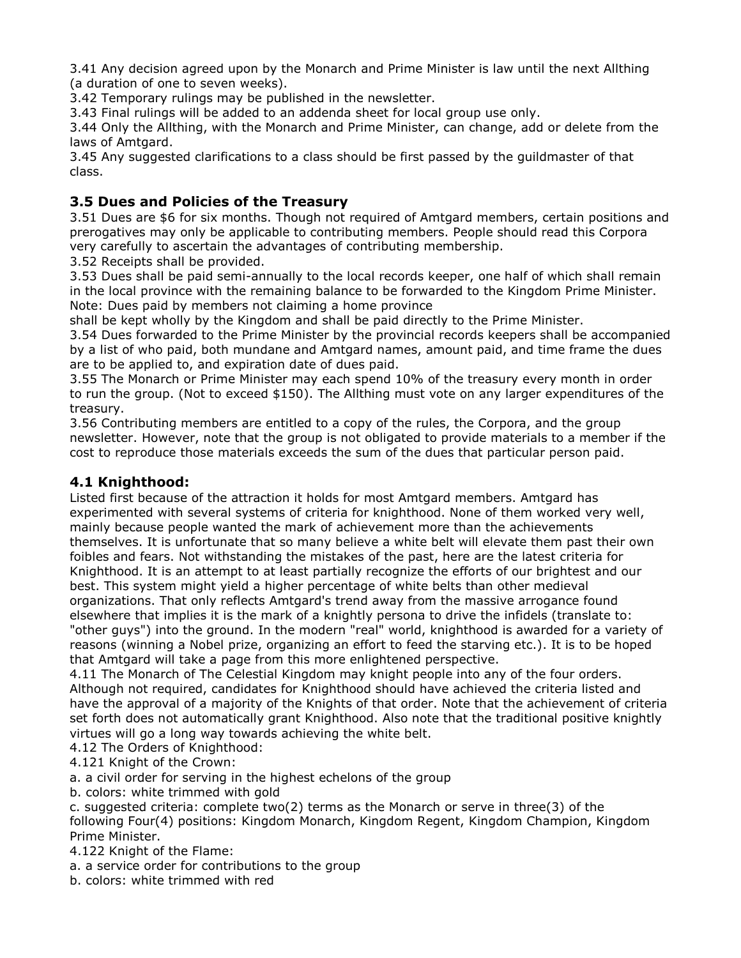3.41 Any decision agreed upon by the Monarch and Prime Minister is law until the next Allthing (a duration of one to seven weeks).

3.42 Temporary rulings may be published in the newsletter.

3.43 Final rulings will be added to an addenda sheet for local group use only.

3.44 Only the Allthing, with the Monarch and Prime Minister, can change, add or delete from the laws of Amtgard.

3.45 Any suggested clarifications to a class should be first passed by the guildmaster of that class.

#### 3.5 Dues and Policies of the Treasury

3.51 Dues are \$6 for six months. Though not reguired of Amtgard members, certain positions and prerogatives may only be applicable to contributing members. People should read this Corpora very carefully to ascertain the advantages of contributing membership.

3.52 Receipts shall be provided.

3.53 Dues shall be paid semi-annually to the local records keeper, one half of which shall remain in the local province with the remaining balance to be forwarded to the Kingdom Prime Minister. Note: Dues paid by members not claiming a home province

shall be kept wholly by the Kingdom and shall be paid directly to the Prime Minister.

3.54 Dues forwarded to the Prime Minister by the provincial records keepers shall be accompanied by a list of who paid, both mundane and Amtgard names, amount paid, and time frame the dues are to be applied to, and expiration date of dues paid.

3.55 The Monarch or Prime Minister may each spend 10% of the treasury every month in order to run the group. (Not to exceed \$150). The Allthing must vote on any larger expenditures of the treasurv.

3.56 Contributing members are entitled to a copy of the rules, the Corpora, and the group newsletter. However, note that the group is not obligated to provide materials to a member if the cost to reproduce those materials exceeds the sum of the dues that particular person paid.

#### 4.1 Knighthood:

Listed first because of the attraction it holds for most Amtgard members. Amtgard has experimented with several systems of criteria for knighthood. None of them worked very well, mainly because people wanted the mark of achievement more than the achievements themselves. It is unfortunate that so many believe a white belt will elevate them past their own foibles and fears. Not withstanding the mistakes of the past, here are the latest criteria for Knighthood. It is an attempt to at least partially recognize the efforts of our brightest and our best. This system might yield a higher percentage of white belts than other medieval organizations. That only reflects Amtgard's trend away from the massive arrogance found elsewhere that implies it is the mark of a knightly persona to drive the infidels (translate to: "other guys") into the ground. In the modern "real" world, knighthood is awarded for a variety of reasons (winning a Nobel prize, organizing an effort to feed the starving etc.). It is to be hoped that Amtgard will take a page from this more enlightened perspective.

4.11 The Monarch of The Celestial Kingdom may knight people into any of the four orders. Although not required, candidates for Knighthood should have achieved the criteria listed and have the approval of a majority of the Knights of that order. Note that the achievement of criteria set forth does not automatically grant Knighthood. Also note that the traditional positive knightly virtues will go a long way towards achieving the white belt.

4.12 The Orders of Knighthood:

4.121 Knight of the Crown:

a. a civil order for serving in the highest echelons of the group

b. colors: white trimmed with gold

c. suggested criteria: complete two(2) terms as the Monarch or serve in three(3) of the following Four(4) positions: Kingdom Monarch, Kingdom Regent, Kingdom Champion, Kingdom Prime Minister.

4.122 Knight of the Flame:

a. a service order for contributions to the group

b. colors: white trimmed with red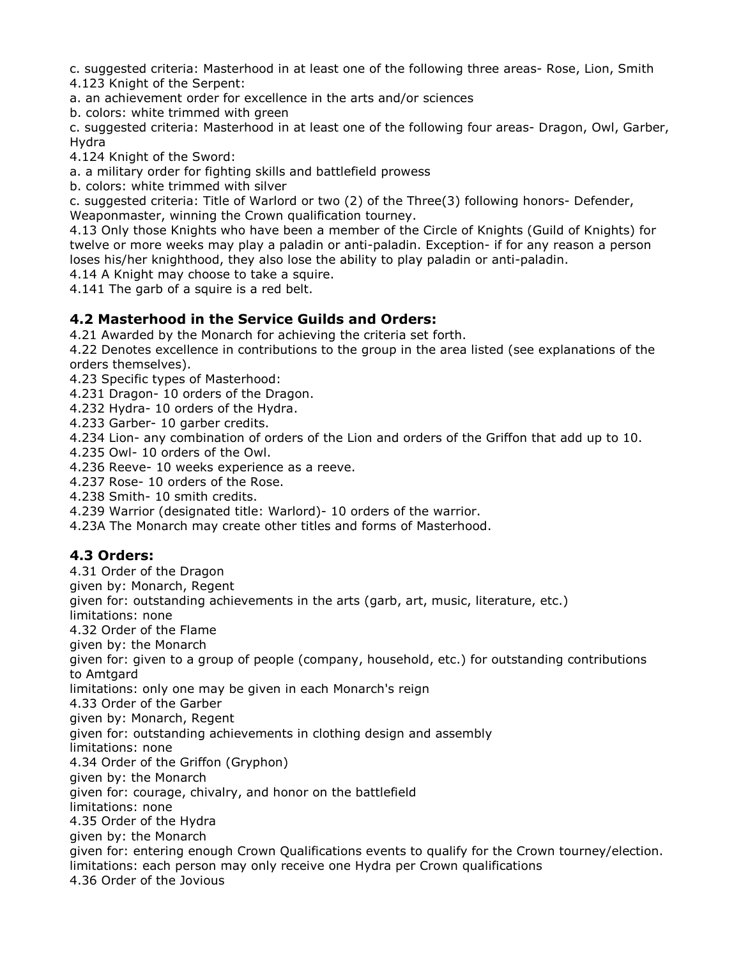c. suggested criteria: Masterhood in at least one of the following three areas- Rose, Lion, Smith 4.123 Knight of the Serpent:

a. an achievement order for excellence in the arts and/or sciences

b. colors: white trimmed with green

c. suggested criteria: Masterhood in at least one of the following four areas- Dragon, Owl, Garber, Hydra

4.124 Knight of the Sword:

a. a military order for fighting skills and battlefield prowess

b. colors: white trimmed with silver

c. suggested criteria: Title of Warlord or two (2) of the Three(3) following honors- Defender, Weaponmaster, winning the Crown qualification tourney.

4.13 Only those Knights who have been a member of the Circle of Knights (Guild of Knights) for twelve or more weeks may play a paladin or anti-paladin. Exception- if for any reason a person loses his/her knighthood, they also lose the ability to play paladin or anti-paladin.

4.14 A Knight may choose to take a squire.

4.141 The garb of a squire is a red belt.

#### 4.2 Masterhood in the Service Guilds and Orders:

4.21 Awarded by the Monarch for achieving the criteria set forth.

4.22 Denotes excellence in contributions to the group in the area listed (see explanations of the orders themselves).

4.23 Specific types of Masterhood:

4.231 Dragon-10 orders of the Dragon.

4.232 Hydra-10 orders of the Hydra.

4.233 Garber- 10 garber credits.

4.234 Lion- any combination of orders of the Lion and orders of the Griffon that add up to 10.

4.235 Owl- 10 orders of the Owl.

4.236 Reeve- 10 weeks experience as a reeve.

4.237 Rose-10 orders of the Rose.

4.238 Smith- 10 smith credits.

4.239 Warrior (designated title: Warlord) - 10 orders of the warrior.

4.23A The Monarch may create other titles and forms of Masterhood.

#### 4.3 Orders:

4.31 Order of the Dragon given by: Monarch, Regent given for: outstanding achievements in the arts (garb, art, music, literature, etc.) limitations: none 4.32 Order of the Flame given by: the Monarch given for: given to a group of people (company, household, etc.) for outstanding contributions to Amtgard limitations: only one may be given in each Monarch's reign 4.33 Order of the Garber given by: Monarch, Regent given for: outstanding achievements in clothing design and assembly limitations: none 4.34 Order of the Griffon (Gryphon) given by: the Monarch given for: courage, chivalry, and honor on the battlefield limitations: none 4.35 Order of the Hydra given by: the Monarch given for: entering enough Crown Qualifications events to qualify for the Crown tourney/election. limitations: each person may only receive one Hydra per Crown qualifications 4.36 Order of the Jovious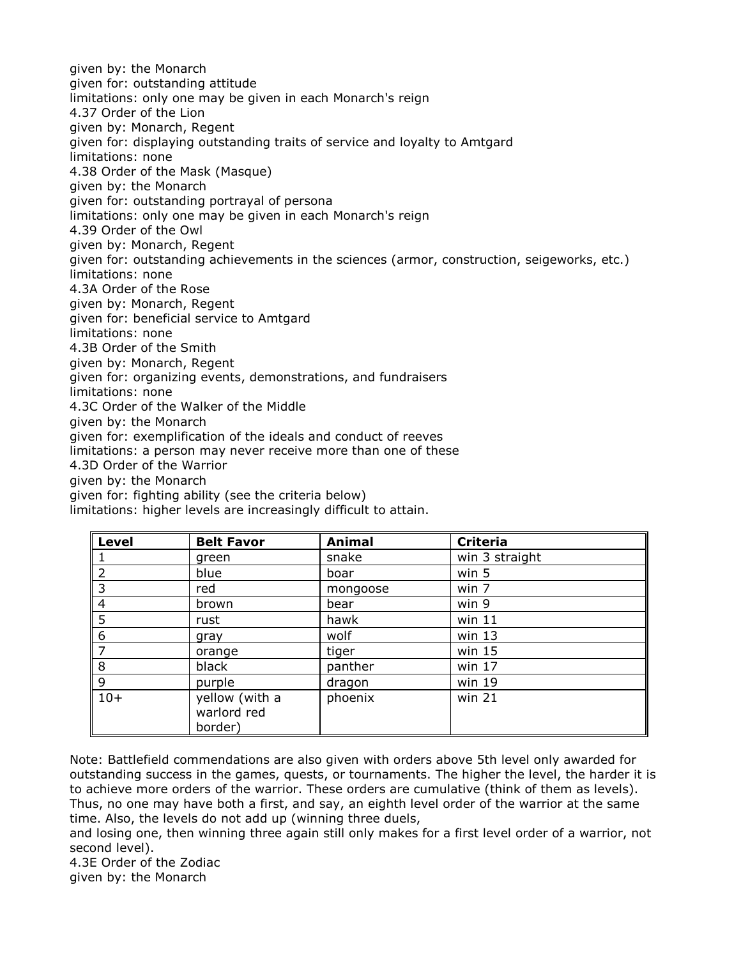given by: the Monarch given for: outstanding attitude limitations: only one may be given in each Monarch's reign 4.37 Order of the Lion given by: Monarch, Regent given for: displaying outstanding traits of service and loyalty to Amtgard limitations: none 4.38 Order of the Mask (Masque) given by: the Monarch given for: outstanding portrayal of persona limitations: only one may be given in each Monarch's reign 4.39 Order of the Owl given by: Monarch, Regent given for: outstanding achievements in the sciences (armor, construction, seigeworks, etc.) limitations: none 4.3A Order of the Rose given by: Monarch, Regent given for: beneficial service to Amtgard limitations: none 4.3B Order of the Smith given by: Monarch, Regent given for: organizing events, demonstrations, and fundraisers limitations: none 4.3C Order of the Walker of the Middle given by: the Monarch given for: exemplification of the ideals and conduct of reeves limitations: a person may never receive more than one of these 4.3D Order of the Warrior given by: the Monarch given for: fighting ability (see the criteria below) limitations: higher levels are increasingly difficult to attain.

| $\ $ Level     | <b>Belt Favor</b>                        | <b>Animal</b> | <b>Criteria</b> |
|----------------|------------------------------------------|---------------|-----------------|
| 1              | green                                    | snake         | win 3 straight  |
| $\overline{2}$ | blue                                     | boar          | win 5           |
| $\overline{3}$ | red                                      | mongoose      | win 7           |
| $\overline{4}$ | brown                                    | bear          | win 9           |
| 5              | rust                                     | hawk          | win 11          |
| 6              | gray                                     | wolf          | win $13$        |
| l 7            | orange                                   | tiger         | win $15$        |
| 8              | black                                    | panther       | win $17$        |
| $\overline{9}$ | purple                                   | dragon        | win 19          |
| $10+$          | yellow (with a<br>warlord red<br>border) | phoenix       | win 21          |

Note: Battlefield commendations are also given with orders above 5th level only awarded for outstanding success in the games, guests, or tournaments. The higher the level, the harder it is to achieve more orders of the warrior. These orders are cumulative (think of them as levels). Thus, no one may have both a first, and say, an eighth level order of the warrior at the same time. Also, the levels do not add up (winning three duels,

and losing one, then winning three again still only makes for a first level order of a warrior, not second level).

4.3E Order of the Zodiac given by: the Monarch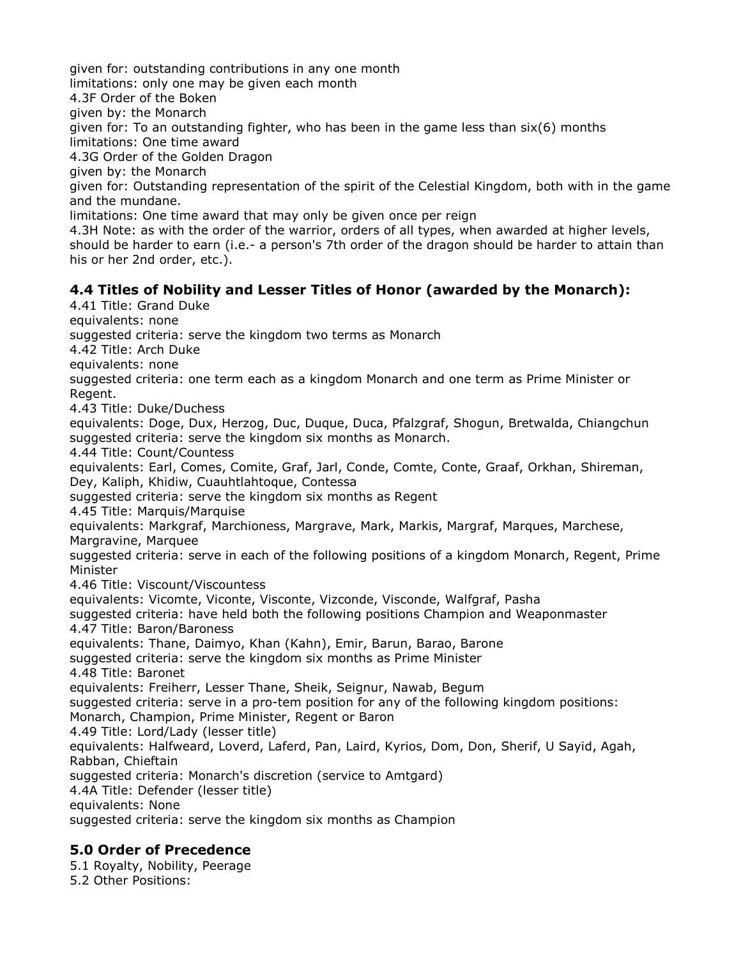given for: outstanding contributions in any one month limitations: only one may be given each month 4.3F Order of the Boken given by: the Monarch given for: To an outstanding fighter, who has been in the game less than  $six(6)$  months limitations: One time award 4.3G Order of the Golden Dragon given by: the Monarch given for: Outstanding representation of the spirit of the Celestial Kingdom, both with in the game and the mundane. limitations: One time award that may only be given once per reign 4.3H Note: as with the order of the warrior, orders of all types, when awarded at higher levels, should be harder to earn (i.e.- a person's 7th order of the dragon should be harder to attain than his or her 2nd order, etc.). 4.4 Titles of Nobility and Lesser Titles of Honor (awarded by the Monarch): 4.41 Title: Grand Duke

equivalents: none suggested criteria: serve the kingdom two terms as Monarch 4.42 Title: Arch Duke equivalents: none suggested criteria: one term each as a kingdom Monarch and one term as Prime Minister or Regent. 4.43 Title: Duke/Duchess equivalents: Doge, Dux, Herzog, Duc, Dugue, Duca, Pfalzgraf, Shogun, Bretwalda, Chiangchun suggested criteria: serve the kingdom six months as Monarch. 4.44 Title: Count/Countess equivalents: Earl, Comes, Comite, Graf, Jarl, Conde, Comte, Conte, Graaf, Orkhan, Shireman, Dey, Kaliph, Khidiw, Cuauhtlahtoque, Contessa suggested criteria: serve the kingdom six months as Regent 4.45 Title: Marguis/Marguise equivalents: Markgraf, Marchioness, Margrave, Mark, Markis, Margraf, Marques, Marchese, Margravine, Marquee suggested criteria: serve in each of the following positions of a kingdom Monarch, Regent, Prime Minister 4.46 Title: Viscount/Viscountess equivalents: Vicomte, Viconte, Visconte, Vizconde, Visconde, Walfgraf, Pasha suggested criteria: have held both the following positions Champion and Weaponmaster 4.47 Title: Baron/Baroness equivalents: Thane, Daimyo, Khan (Kahn), Emir, Barun, Barao, Barone suggested criteria: serve the kingdom six months as Prime Minister 4.48 Title: Baronet equivalents: Freiherr, Lesser Thane, Sheik, Seignur, Nawab, Begum suggested criteria: serve in a pro-tem position for any of the following kingdom positions: Monarch, Champion, Prime Minister, Regent or Baron 4.49 Title: Lord/Lady (lesser title) equivalents: Halfweard, Loverd, Laferd, Pan, Laird, Kyrios, Dom, Don, Sherif, U Sayid, Agah, Rabban, Chieftain suggested criteria: Monarch's discretion (service to Amtgard) 4.4A Title: Defender (lesser title) equivalents: None suggested criteria: serve the kingdom six months as Champion

#### 5.0 Order of Precedence

5.1 Royalty, Nobility, Peerage 5.2 Other Positions: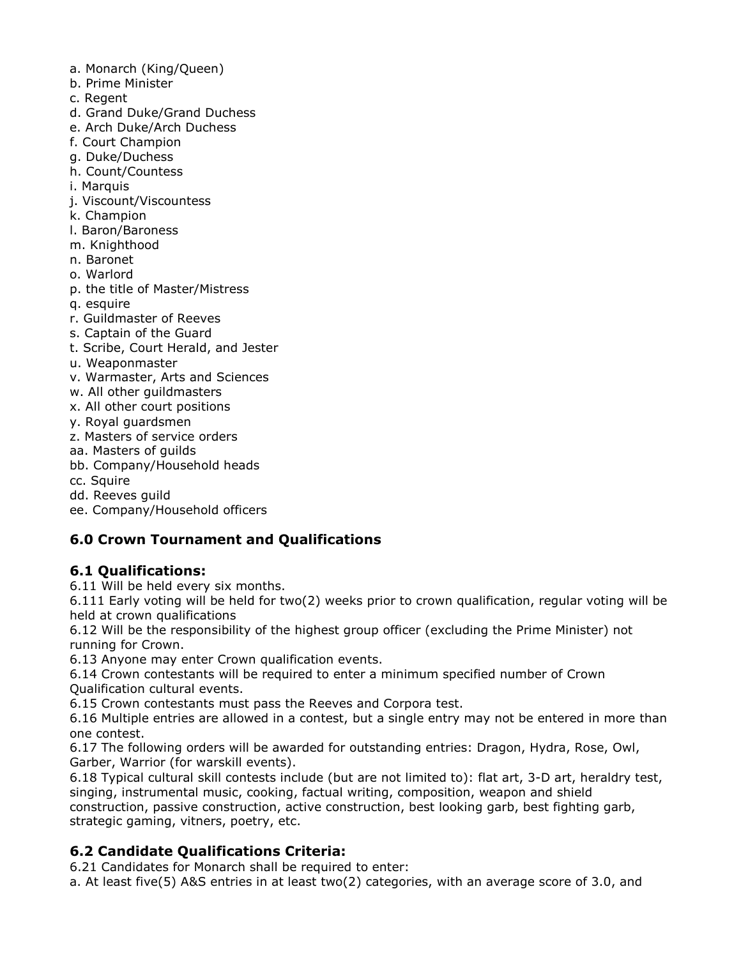- a. Monarch (King/Queen)
- b. Prime Minister
- c. Regent
- d. Grand Duke/Grand Duchess
- e. Arch Duke/Arch Duchess
- f. Court Champion
- g. Duke/Duchess
- h. Count/Countess
- i. Marquis
- j. Viscount/Viscountess
- k. Champion
- I. Baron/Baroness
- m. Knighthood
- n. Baronet
- o. Warlord
- p. the title of Master/Mistress
- q. esquire
- r. Guildmaster of Reeves
- s. Captain of the Guard
- t. Scribe, Court Herald, and Jester
- u. Weaponmaster
- v. Warmaster, Arts and Sciences
- w. All other quildmasters
- x. All other court positions
- y. Royal quardsmen
- z. Masters of service orders
- aa. Masters of guilds
- bb. Company/Household heads
- cc. Squire
- dd. Reeves quild
- ee. Company/Household officers

#### **6.0 Crown Tournament and Qualifications**

#### **6.1 Qualifications:**

6.11 Will be held every six months.

6.111 Early voting will be held for two(2) weeks prior to crown qualification, regular voting will be held at crown qualifications

6.12 Will be the responsibility of the highest group officer (excluding the Prime Minister) not running for Crown.

6.13 Anyone may enter Crown qualification events.

6.14 Crown contestants will be required to enter a minimum specified number of Crown **Qualification cultural events.** 

6.15 Crown contestants must pass the Reeves and Corpora test.

6.16 Multiple entries are allowed in a contest, but a single entry may not be entered in more than one contest.

6.17 The following orders will be awarded for outstanding entries: Dragon, Hydra, Rose, Owl, Garber, Warrior (for warskill events).

6.18 Typical cultural skill contests include (but are not limited to): flat art, 3-D art, heraldry test, singing, instrumental music, cooking, factual writing, composition, weapon and shield construction, passive construction, active construction, best looking garb, best fighting garb, strategic gaming, vitners, poetry, etc.

#### **6.2 Candidate Qualifications Criteria:**

6.21 Candidates for Monarch shall be required to enter:

a. At least five(5) A&S entries in at least two(2) categories, with an average score of 3.0, and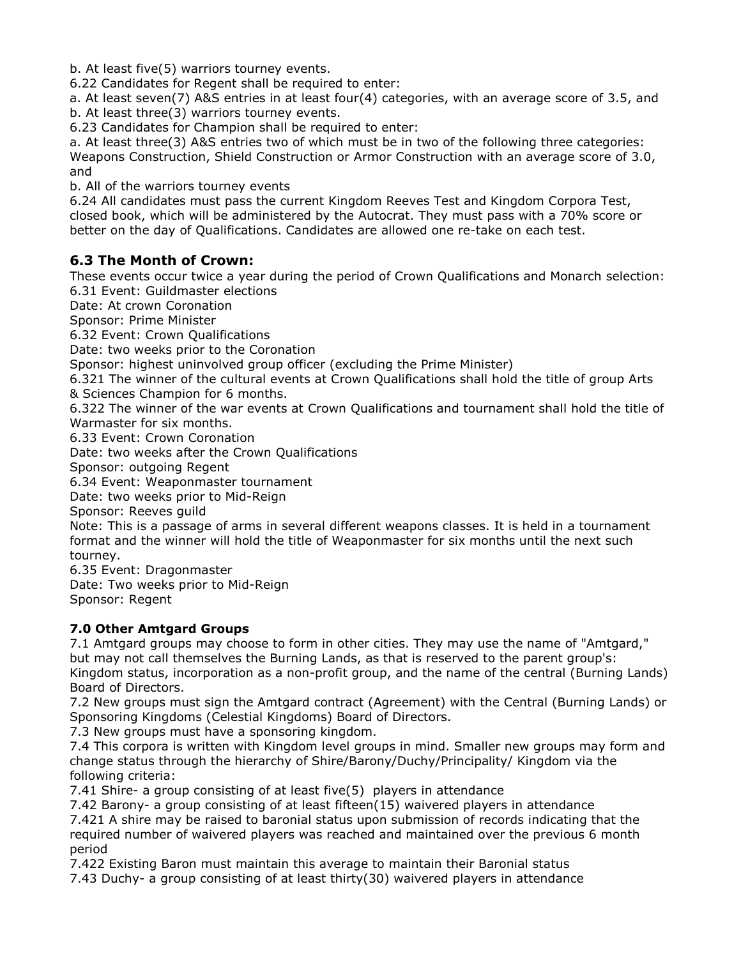b. At least five(5) warriors tourney events.

6.22 Candidates for Regent shall be required to enter:

a. At least seven(7) A&S entries in at least four(4) categories, with an average score of 3.5, and b. At least three(3) warriors tourney events.

6.23 Candidates for Champion shall be required to enter:

a. At least three(3) A&S entries two of which must be in two of the following three categories: Weapons Construction, Shield Construction or Armor Construction with an average score of 3.0, and

b. All of the warriors tourney events

6.24 All candidates must pass the current Kingdom Reeves Test and Kingdom Corpora Test, closed book, which will be administered by the Autocrat. They must pass with a 70% score or better on the day of Qualifications. Candidates are allowed one re-take on each test.

#### 6.3 The Month of Crown:

These events occur twice a year during the period of Crown Qualifications and Monarch selection: 6.31 Event: Guildmaster elections

Date: At crown Coronation

Sponsor: Prime Minister

6.32 Event: Crown Oualifications

Date: two weeks prior to the Coronation

Sponsor: highest uninvolved group officer (excluding the Prime Minister)

6.321 The winner of the cultural events at Crown Qualifications shall hold the title of group Arts & Sciences Champion for 6 months.

6.322 The winner of the war events at Crown Qualifications and tournament shall hold the title of Warmaster for six months.

6.33 Event: Crown Coronation

Date: two weeks after the Crown Qualifications

Sponsor: outgoing Regent

6.34 Event: Weaponmaster tournament

Date: two weeks prior to Mid-Reign

Sponsor: Reeves quild

Note: This is a passage of arms in several different weapons classes. It is held in a tournament format and the winner will hold the title of Weaponmaster for six months until the next such tournev.

6.35 Event: Dragonmaster

Date: Two weeks prior to Mid-Reign

Sponsor: Regent

#### **7.0 Other Amtgard Groups**

7.1 Amtgard groups may choose to form in other cities. They may use the name of "Amtgard," but may not call themselves the Burning Lands, as that is reserved to the parent group's:

Kingdom status, incorporation as a non-profit group, and the name of the central (Burning Lands) Board of Directors.

7.2 New groups must sign the Amtgard contract (Agreement) with the Central (Burning Lands) or Sponsoring Kingdoms (Celestial Kingdoms) Board of Directors.

7.3 New groups must have a sponsoring kingdom.

7.4 This corpora is written with Kingdom level groups in mind. Smaller new groups may form and change status through the hierarchy of Shire/Barony/Duchy/Principality/ Kingdom via the following criteria:

7.41 Shire- a group consisting of at least five(5) players in attendance

7.42 Barony- a group consisting of at least fifteen(15) waivered players in attendance

7.421 A shire may be raised to baronial status upon submission of records indicating that the required number of waivered players was reached and maintained over the previous 6 month period

7.422 Existing Baron must maintain this average to maintain their Baronial status

7.43 Duchy- a group consisting of at least thirty(30) waivered players in attendance